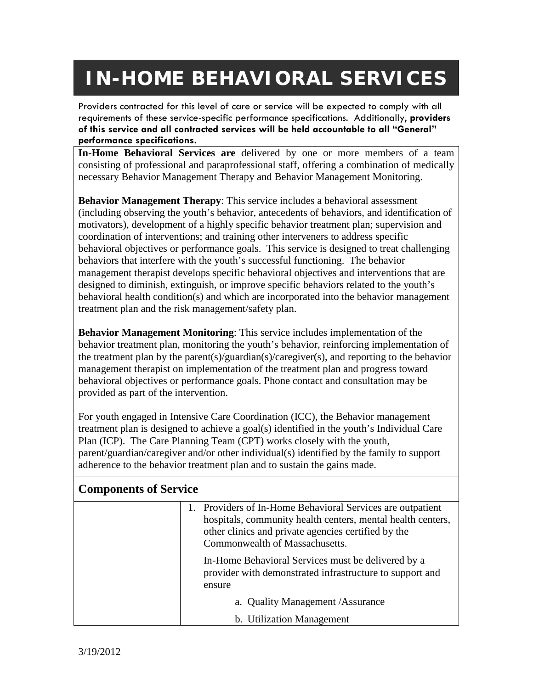## **IN-HOME BEHAVIORAL SERVICES**

Providers contracted for this level of care or service will be expected to comply with all requirements of these service-specific performance specifications. Additionally, **providers of this service and all contracted services will be held accountable to all "General" performance specifications.** 

**In-Home Behavioral Services are** delivered by one or more members of a team consisting of professional and paraprofessional staff, offering a combination of medically necessary Behavior Management Therapy and Behavior Management Monitoring.

**Behavior Management Therapy**: This service includes a behavioral assessment (including observing the youth's behavior, antecedents of behaviors, and identification of motivators), development of a highly specific behavior treatment plan; supervision and coordination of interventions; and training other interveners to address specific behavioral objectives or performance goals. This service is designed to treat challenging behaviors that interfere with the youth's successful functioning. The behavior management therapist develops specific behavioral objectives and interventions that are designed to diminish, extinguish, or improve specific behaviors related to the youth's behavioral health condition(s) and which are incorporated into the behavior management treatment plan and the risk management/safety plan.

**Behavior Management Monitoring**: This service includes implementation of the behavior treatment plan, monitoring the youth's behavior, reinforcing implementation of the treatment plan by the parent(s)/guardian(s)/caregiver(s), and reporting to the behavior management therapist on implementation of the treatment plan and progress toward behavioral objectives or performance goals. Phone contact and consultation may be provided as part of the intervention.

For youth engaged in Intensive Care Coordination (ICC), the Behavior management treatment plan is designed to achieve a goal(s) identified in the youth's Individual Care Plan (ICP). The Care Planning Team (CPT) works closely with the youth, parent/guardian/caregiver and/or other individual(s) identified by the family to support adherence to the behavior treatment plan and to sustain the gains made.

| <b>Components of Service</b> |                                                                                                                                                                                                                    |  |
|------------------------------|--------------------------------------------------------------------------------------------------------------------------------------------------------------------------------------------------------------------|--|
|                              | 1. Providers of In-Home Behavioral Services are outpatient<br>hospitals, community health centers, mental health centers,<br>other clinics and private agencies certified by the<br>Commonwealth of Massachusetts. |  |
|                              | In-Home Behavioral Services must be delivered by a<br>provider with demonstrated infrastructure to support and<br>ensure                                                                                           |  |
|                              | a. Quality Management / Assurance                                                                                                                                                                                  |  |
|                              | b. Utilization Management                                                                                                                                                                                          |  |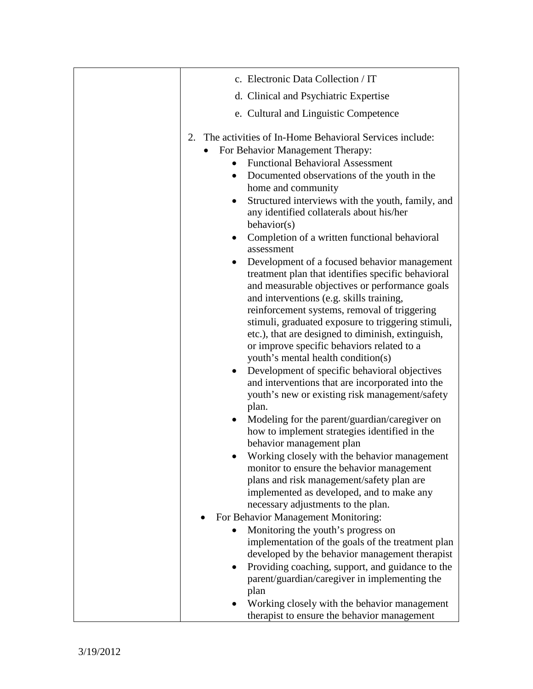| c. Electronic Data Collection / IT                                                                                                                                                                                                                                                                                                                                                                                                                                                                                                                                                                                                                                                                                                                                                                                                                                                                                                                                                                                                                                                                                                                                                                                                                                                                                                                                                                                                                                                                                   |
|----------------------------------------------------------------------------------------------------------------------------------------------------------------------------------------------------------------------------------------------------------------------------------------------------------------------------------------------------------------------------------------------------------------------------------------------------------------------------------------------------------------------------------------------------------------------------------------------------------------------------------------------------------------------------------------------------------------------------------------------------------------------------------------------------------------------------------------------------------------------------------------------------------------------------------------------------------------------------------------------------------------------------------------------------------------------------------------------------------------------------------------------------------------------------------------------------------------------------------------------------------------------------------------------------------------------------------------------------------------------------------------------------------------------------------------------------------------------------------------------------------------------|
| d. Clinical and Psychiatric Expertise                                                                                                                                                                                                                                                                                                                                                                                                                                                                                                                                                                                                                                                                                                                                                                                                                                                                                                                                                                                                                                                                                                                                                                                                                                                                                                                                                                                                                                                                                |
| e. Cultural and Linguistic Competence                                                                                                                                                                                                                                                                                                                                                                                                                                                                                                                                                                                                                                                                                                                                                                                                                                                                                                                                                                                                                                                                                                                                                                                                                                                                                                                                                                                                                                                                                |
| The activities of In-Home Behavioral Services include:<br>2.<br>For Behavior Management Therapy:<br><b>Functional Behavioral Assessment</b><br>Documented observations of the youth in the<br>home and community<br>Structured interviews with the youth, family, and<br>any identified collaterals about his/her<br>behavior(s)<br>Completion of a written functional behavioral<br>assessment<br>Development of a focused behavior management<br>٠<br>treatment plan that identifies specific behavioral<br>and measurable objectives or performance goals<br>and interventions (e.g. skills training,<br>reinforcement systems, removal of triggering<br>stimuli, graduated exposure to triggering stimuli,<br>etc.), that are designed to diminish, extinguish,<br>or improve specific behaviors related to a<br>youth's mental health condition(s)<br>Development of specific behavioral objectives<br>and interventions that are incorporated into the<br>youth's new or existing risk management/safety<br>plan.<br>Modeling for the parent/guardian/caregiver on<br>how to implement strategies identified in the<br>behavior management plan<br>Working closely with the behavior management<br>monitor to ensure the behavior management<br>plans and risk management/safety plan are<br>implemented as developed, and to make any<br>necessary adjustments to the plan.<br>For Behavior Management Monitoring:<br>Monitoring the youth's progress on<br>implementation of the goals of the treatment plan |
| developed by the behavior management therapist                                                                                                                                                                                                                                                                                                                                                                                                                                                                                                                                                                                                                                                                                                                                                                                                                                                                                                                                                                                                                                                                                                                                                                                                                                                                                                                                                                                                                                                                       |
| Providing coaching, support, and guidance to the<br>parent/guardian/caregiver in implementing the<br>plan                                                                                                                                                                                                                                                                                                                                                                                                                                                                                                                                                                                                                                                                                                                                                                                                                                                                                                                                                                                                                                                                                                                                                                                                                                                                                                                                                                                                            |
| Working closely with the behavior management<br>therapist to ensure the behavior management                                                                                                                                                                                                                                                                                                                                                                                                                                                                                                                                                                                                                                                                                                                                                                                                                                                                                                                                                                                                                                                                                                                                                                                                                                                                                                                                                                                                                          |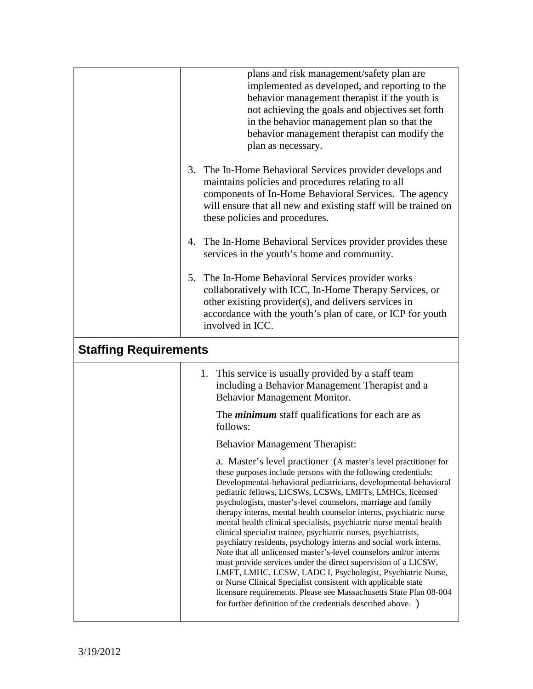|                              | plans and risk management/safety plan are<br>implemented as developed, and reporting to the<br>behavior management therapist if the youth is<br>not achieving the goals and objectives set forth<br>in the behavior management plan so that the<br>behavior management therapist can modify the<br>plan as necessary.                                                                                                                                                                                                                                                                                                                                                                                                                                                                                                                                                                                                                                                                                                                |
|------------------------------|--------------------------------------------------------------------------------------------------------------------------------------------------------------------------------------------------------------------------------------------------------------------------------------------------------------------------------------------------------------------------------------------------------------------------------------------------------------------------------------------------------------------------------------------------------------------------------------------------------------------------------------------------------------------------------------------------------------------------------------------------------------------------------------------------------------------------------------------------------------------------------------------------------------------------------------------------------------------------------------------------------------------------------------|
|                              | 3. The In-Home Behavioral Services provider develops and<br>maintains policies and procedures relating to all<br>components of In-Home Behavioral Services. The agency<br>will ensure that all new and existing staff will be trained on<br>these policies and procedures.                                                                                                                                                                                                                                                                                                                                                                                                                                                                                                                                                                                                                                                                                                                                                           |
|                              | 4. The In-Home Behavioral Services provider provides these<br>services in the youth's home and community.                                                                                                                                                                                                                                                                                                                                                                                                                                                                                                                                                                                                                                                                                                                                                                                                                                                                                                                            |
|                              | 5. The In-Home Behavioral Services provider works<br>collaboratively with ICC, In-Home Therapy Services, or<br>other existing provider(s), and delivers services in<br>accordance with the youth's plan of care, or ICP for youth<br>involved in ICC.                                                                                                                                                                                                                                                                                                                                                                                                                                                                                                                                                                                                                                                                                                                                                                                |
| <b>Staffing Requirements</b> |                                                                                                                                                                                                                                                                                                                                                                                                                                                                                                                                                                                                                                                                                                                                                                                                                                                                                                                                                                                                                                      |
|                              | 1. This service is usually provided by a staff team<br>including a Behavior Management Therapist and a<br>Behavior Management Monitor.                                                                                                                                                                                                                                                                                                                                                                                                                                                                                                                                                                                                                                                                                                                                                                                                                                                                                               |
|                              | The <i>minimum</i> staff qualifications for each are as<br>follows:                                                                                                                                                                                                                                                                                                                                                                                                                                                                                                                                                                                                                                                                                                                                                                                                                                                                                                                                                                  |
|                              | <b>Behavior Management Therapist:</b>                                                                                                                                                                                                                                                                                                                                                                                                                                                                                                                                                                                                                                                                                                                                                                                                                                                                                                                                                                                                |
|                              | a. Master's level practioner (A master's level practitioner for<br>these purposes include persons with the following credentials:<br>Developmental-behavioral pediatricians, developmental-behavioral<br>pediatric fellows, LICSWs, LCSWs, LMFTs, LMHCs, licensed<br>psychologists, master's-level counselors, marriage and family<br>therapy interns, mental health counselor interns, psychiatric nurse<br>mental health clinical specialists, psychiatric nurse mental health<br>clinical specialist trainee, psychiatric nurses, psychiatrists,<br>psychiatry residents, psychology interns and social work interns.<br>Note that all unlicensed master's-level counselors and/or interns<br>must provide services under the direct supervision of a LICSW,<br>LMFT, LMHC, LCSW, LADC I, Psychologist, Psychiatric Nurse,<br>or Nurse Clinical Specialist consistent with applicable state<br>licensure requirements. Please see Massachusetts State Plan 08-004<br>for further definition of the credentials described above. ) |
|                              |                                                                                                                                                                                                                                                                                                                                                                                                                                                                                                                                                                                                                                                                                                                                                                                                                                                                                                                                                                                                                                      |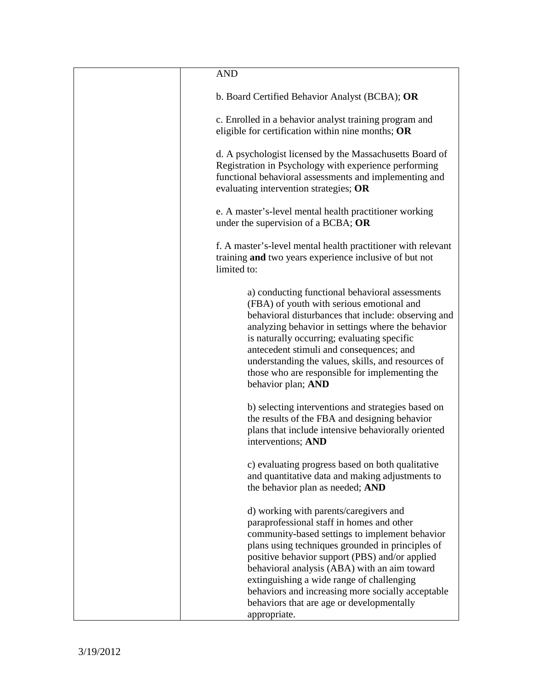| <b>AND</b>                                                                                                                                                                                                                                                                                                                                                                                                                                                 |
|------------------------------------------------------------------------------------------------------------------------------------------------------------------------------------------------------------------------------------------------------------------------------------------------------------------------------------------------------------------------------------------------------------------------------------------------------------|
| b. Board Certified Behavior Analyst (BCBA); OR                                                                                                                                                                                                                                                                                                                                                                                                             |
| c. Enrolled in a behavior analyst training program and<br>eligible for certification within nine months; OR                                                                                                                                                                                                                                                                                                                                                |
| d. A psychologist licensed by the Massachusetts Board of<br>Registration in Psychology with experience performing<br>functional behavioral assessments and implementing and<br>evaluating intervention strategies; OR                                                                                                                                                                                                                                      |
| e. A master's-level mental health practitioner working<br>under the supervision of a BCBA; OR                                                                                                                                                                                                                                                                                                                                                              |
| f. A master's-level mental health practitioner with relevant<br>training and two years experience inclusive of but not<br>limited to:                                                                                                                                                                                                                                                                                                                      |
| a) conducting functional behavioral assessments<br>(FBA) of youth with serious emotional and<br>behavioral disturbances that include: observing and<br>analyzing behavior in settings where the behavior<br>is naturally occurring; evaluating specific<br>antecedent stimuli and consequences; and<br>understanding the values, skills, and resources of<br>those who are responsible for implementing the<br>behavior plan; AND                          |
| b) selecting interventions and strategies based on<br>the results of the FBA and designing behavior<br>plans that include intensive behaviorally oriented<br>interventions; AND                                                                                                                                                                                                                                                                            |
| c) evaluating progress based on both qualitative<br>and quantitative data and making adjustments to<br>the behavior plan as needed; AND                                                                                                                                                                                                                                                                                                                    |
| d) working with parents/caregivers and<br>paraprofessional staff in homes and other<br>community-based settings to implement behavior<br>plans using techniques grounded in principles of<br>positive behavior support (PBS) and/or applied<br>behavioral analysis (ABA) with an aim toward<br>extinguishing a wide range of challenging<br>behaviors and increasing more socially acceptable<br>behaviors that are age or developmentally<br>appropriate. |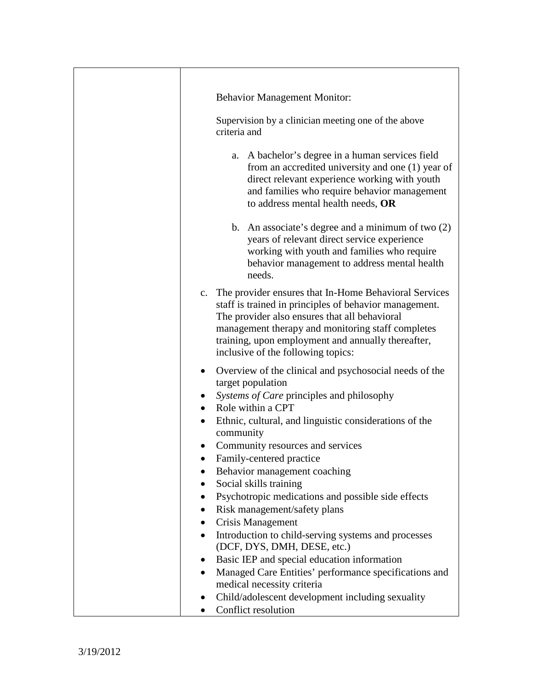| <b>Behavior Management Monitor:</b><br>Supervision by a clinician meeting one of the above<br>criteria and                                                                                                                                                                                                           |
|----------------------------------------------------------------------------------------------------------------------------------------------------------------------------------------------------------------------------------------------------------------------------------------------------------------------|
| a. A bachelor's degree in a human services field<br>from an accredited university and one (1) year of<br>direct relevant experience working with youth<br>and families who require behavior management<br>to address mental health needs, OR                                                                         |
| b. An associate's degree and a minimum of two $(2)$<br>years of relevant direct service experience<br>working with youth and families who require<br>behavior management to address mental health<br>needs.                                                                                                          |
| c. The provider ensures that In-Home Behavioral Services<br>staff is trained in principles of behavior management.<br>The provider also ensures that all behavioral<br>management therapy and monitoring staff completes<br>training, upon employment and annually thereafter,<br>inclusive of the following topics: |
| Overview of the clinical and psychosocial needs of the<br>$\bullet$<br>target population<br>Systems of Care principles and philosophy<br>Role within a CPT<br>$\bullet$<br>Ethnic, cultural, and linguistic considerations of the<br>community<br>Community resources and services                                   |
| Family-centered practice<br>Behavior management coaching<br>Social skills training<br>Psychotropic medications and possible side effects<br>$\bullet$<br>Risk management/safety plans<br>$\bullet$<br>Crisis Management<br>$\bullet$                                                                                 |
| Introduction to child-serving systems and processes<br>$\bullet$<br>(DCF, DYS, DMH, DESE, etc.)<br>Basic IEP and special education information<br>Managed Care Entities' performance specifications and<br>medical necessity criteria<br>Child/adolescent development including sexuality<br>Conflict resolution     |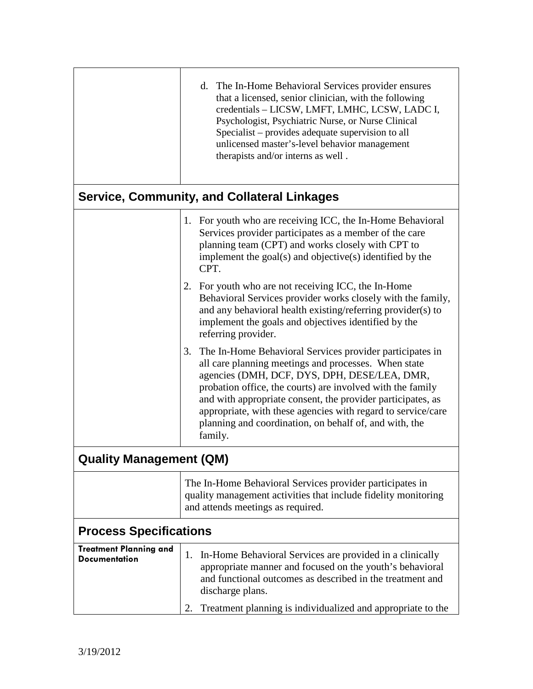|                                                       | d. The In-Home Behavioral Services provider ensures<br>that a licensed, senior clinician, with the following<br>credentials - LICSW, LMFT, LMHC, LCSW, LADC I,<br>Psychologist, Psychiatric Nurse, or Nurse Clinical<br>Specialist – provides adequate supervision to all<br>unlicensed master's-level behavior management<br>therapists and/or interns as well.                                                                         |  |
|-------------------------------------------------------|------------------------------------------------------------------------------------------------------------------------------------------------------------------------------------------------------------------------------------------------------------------------------------------------------------------------------------------------------------------------------------------------------------------------------------------|--|
|                                                       | <b>Service, Community, and Collateral Linkages</b>                                                                                                                                                                                                                                                                                                                                                                                       |  |
|                                                       | 1. For youth who are receiving ICC, the In-Home Behavioral<br>Services provider participates as a member of the care<br>planning team (CPT) and works closely with CPT to<br>implement the $\text{goal}(s)$ and objective $(s)$ identified by the<br>CPT.                                                                                                                                                                                |  |
|                                                       | 2. For youth who are not receiving ICC, the In-Home<br>Behavioral Services provider works closely with the family,<br>and any behavioral health existing/referring provider(s) to<br>implement the goals and objectives identified by the<br>referring provider.                                                                                                                                                                         |  |
|                                                       | 3.<br>The In-Home Behavioral Services provider participates in<br>all care planning meetings and processes. When state<br>agencies (DMH, DCF, DYS, DPH, DESE/LEA, DMR,<br>probation office, the courts) are involved with the family<br>and with appropriate consent, the provider participates, as<br>appropriate, with these agencies with regard to service/care<br>planning and coordination, on behalf of, and with, the<br>family. |  |
| <b>Quality Management (QM)</b>                        |                                                                                                                                                                                                                                                                                                                                                                                                                                          |  |
|                                                       | The In-Home Behavioral Services provider participates in<br>quality management activities that include fidelity monitoring<br>and attends meetings as required.                                                                                                                                                                                                                                                                          |  |
| <b>Process Specifications</b>                         |                                                                                                                                                                                                                                                                                                                                                                                                                                          |  |
| <b>Treatment Planning and</b><br><b>Documentation</b> | In-Home Behavioral Services are provided in a clinically<br>1.<br>appropriate manner and focused on the youth's behavioral<br>and functional outcomes as described in the treatment and<br>discharge plans.                                                                                                                                                                                                                              |  |
|                                                       | Treatment planning is individualized and appropriate to the<br>2.                                                                                                                                                                                                                                                                                                                                                                        |  |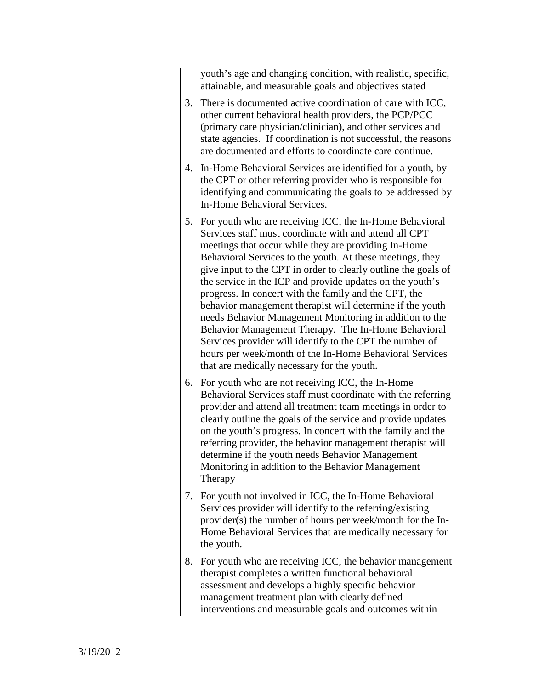|  |    | youth's age and changing condition, with realistic, specific,<br>attainable, and measurable goals and objectives stated                                                                                                                                                                                                                                                                                                                                                                                                                                                                                                                                                                                                                                                                |
|--|----|----------------------------------------------------------------------------------------------------------------------------------------------------------------------------------------------------------------------------------------------------------------------------------------------------------------------------------------------------------------------------------------------------------------------------------------------------------------------------------------------------------------------------------------------------------------------------------------------------------------------------------------------------------------------------------------------------------------------------------------------------------------------------------------|
|  | 3. | There is documented active coordination of care with ICC,<br>other current behavioral health providers, the PCP/PCC<br>(primary care physician/clinician), and other services and<br>state agencies. If coordination is not successful, the reasons<br>are documented and efforts to coordinate care continue.                                                                                                                                                                                                                                                                                                                                                                                                                                                                         |
|  |    | 4. In-Home Behavioral Services are identified for a youth, by<br>the CPT or other referring provider who is responsible for<br>identifying and communicating the goals to be addressed by<br>In-Home Behavioral Services.                                                                                                                                                                                                                                                                                                                                                                                                                                                                                                                                                              |
|  |    | 5. For youth who are receiving ICC, the In-Home Behavioral<br>Services staff must coordinate with and attend all CPT<br>meetings that occur while they are providing In-Home<br>Behavioral Services to the youth. At these meetings, they<br>give input to the CPT in order to clearly outline the goals of<br>the service in the ICP and provide updates on the youth's<br>progress. In concert with the family and the CPT, the<br>behavior management therapist will determine if the youth<br>needs Behavior Management Monitoring in addition to the<br>Behavior Management Therapy. The In-Home Behavioral<br>Services provider will identify to the CPT the number of<br>hours per week/month of the In-Home Behavioral Services<br>that are medically necessary for the youth. |
|  |    | 6. For youth who are not receiving ICC, the In-Home<br>Behavioral Services staff must coordinate with the referring<br>provider and attend all treatment team meetings in order to<br>clearly outline the goals of the service and provide updates<br>on the youth's progress. In concert with the family and the<br>referring provider, the behavior management therapist will<br>determine if the youth needs Behavior Management<br>Monitoring in addition to the Behavior Management<br>Therapy                                                                                                                                                                                                                                                                                    |
|  |    | 7. For youth not involved in ICC, the In-Home Behavioral<br>Services provider will identify to the referring/existing<br>provider(s) the number of hours per week/month for the In-<br>Home Behavioral Services that are medically necessary for<br>the youth.                                                                                                                                                                                                                                                                                                                                                                                                                                                                                                                         |
|  |    | 8. For youth who are receiving ICC, the behavior management<br>therapist completes a written functional behavioral<br>assessment and develops a highly specific behavior<br>management treatment plan with clearly defined<br>interventions and measurable goals and outcomes within                                                                                                                                                                                                                                                                                                                                                                                                                                                                                                   |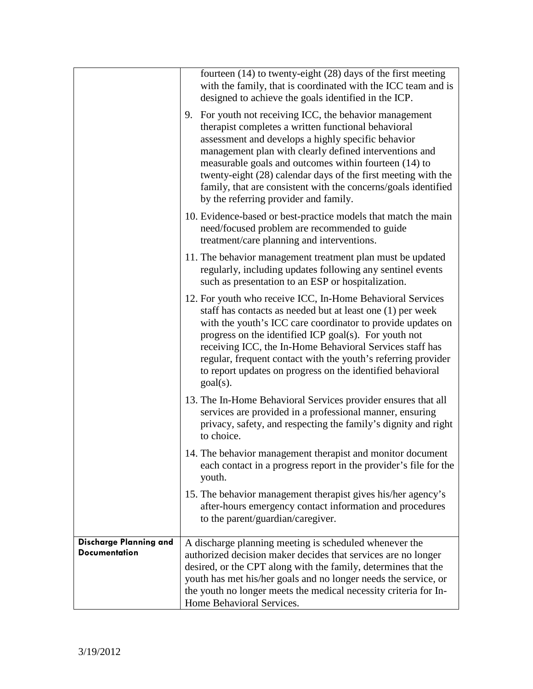|                                                | fourteen (14) to twenty-eight (28) days of the first meeting<br>with the family, that is coordinated with the ICC team and is<br>designed to achieve the goals identified in the ICP.                                                                                                                                                                                                                                                                               |
|------------------------------------------------|---------------------------------------------------------------------------------------------------------------------------------------------------------------------------------------------------------------------------------------------------------------------------------------------------------------------------------------------------------------------------------------------------------------------------------------------------------------------|
|                                                | 9. For youth not receiving ICC, the behavior management<br>therapist completes a written functional behavioral<br>assessment and develops a highly specific behavior<br>management plan with clearly defined interventions and<br>measurable goals and outcomes within fourteen (14) to<br>twenty-eight (28) calendar days of the first meeting with the<br>family, that are consistent with the concerns/goals identified<br>by the referring provider and family. |
|                                                | 10. Evidence-based or best-practice models that match the main<br>need/focused problem are recommended to guide<br>treatment/care planning and interventions.                                                                                                                                                                                                                                                                                                       |
|                                                | 11. The behavior management treatment plan must be updated<br>regularly, including updates following any sentinel events<br>such as presentation to an ESP or hospitalization.                                                                                                                                                                                                                                                                                      |
|                                                | 12. For youth who receive ICC, In-Home Behavioral Services<br>staff has contacts as needed but at least one (1) per week<br>with the youth's ICC care coordinator to provide updates on<br>progress on the identified ICP goal(s). For youth not<br>receiving ICC, the In-Home Behavioral Services staff has<br>regular, frequent contact with the youth's referring provider<br>to report updates on progress on the identified behavioral<br>$goal(s)$ .          |
|                                                | 13. The In-Home Behavioral Services provider ensures that all<br>services are provided in a professional manner, ensuring<br>privacy, safety, and respecting the family's dignity and right<br>to choice.                                                                                                                                                                                                                                                           |
|                                                | 14. The behavior management therapist and monitor document<br>each contact in a progress report in the provider's file for the<br>youth.                                                                                                                                                                                                                                                                                                                            |
|                                                | 15. The behavior management therapist gives his/her agency's<br>after-hours emergency contact information and procedures<br>to the parent/guardian/caregiver.                                                                                                                                                                                                                                                                                                       |
| Discharge Planning and<br><b>Documentation</b> | A discharge planning meeting is scheduled whenever the<br>authorized decision maker decides that services are no longer<br>desired, or the CPT along with the family, determines that the<br>youth has met his/her goals and no longer needs the service, or<br>the youth no longer meets the medical necessity criteria for In-<br>Home Behavioral Services.                                                                                                       |